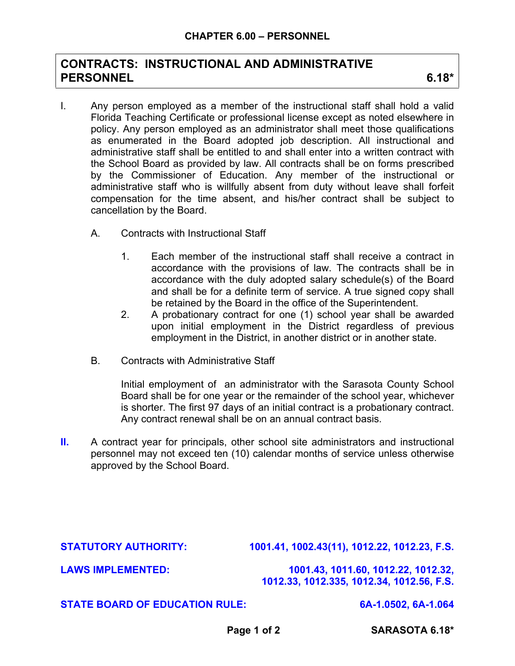## **CONTRACTS: INSTRUCTIONAL AND ADMINISTRATIVE PERSONNEL 6.18\***

- I. Any person employed as a member of the instructional staff shall hold a valid Florida Teaching Certificate or professional license except as noted elsewhere in policy. Any person employed as an administrator shall meet those qualifications as enumerated in the Board adopted job description. All instructional and administrative staff shall be entitled to and shall enter into a written contract with the School Board as provided by law. All contracts shall be on forms prescribed by the Commissioner of Education. Any member of the instructional or administrative staff who is willfully absent from duty without leave shall forfeit compensation for the time absent, and his/her contract shall be subject to cancellation by the Board.
	- A. Contracts with Instructional Staff
		- 1. Each member of the instructional staff shall receive a contract in accordance with the provisions of law. The contracts shall be in accordance with the duly adopted salary schedule(s) of the Board and shall be for a definite term of service. A true signed copy shall be retained by the Board in the office of the Superintendent.
		- 2. A probationary contract for one (1) school year shall be awarded upon initial employment in the District regardless of previous employment in the District, in another district or in another state.
	- B. Contracts with Administrative Staff

Initial employment of an administrator with the Sarasota County School Board shall be for one year or the remainder of the school year, whichever is shorter. The first 97 days of an initial contract is a probationary contract. Any contract renewal shall be on an annual contract basis.

**II.** A contract year for principals, other school site administrators and instructional personnel may not exceed ten (10) calendar months of service unless otherwise approved by the School Board.

**STATUTORY AUTHORITY: 1001.41, 1002.43(11), 1012.22, 1012.23, F.S.** 

**LAWS IMPLEMENTED: 1001.43, 1011.60, 1012.22, 1012.32, 1012.33, 1012.335, 1012.34, 1012.56, F.S.** 

## **STATE BOARD OF EDUCATION RULE: 6A-1.0502, 6A-1.064**

Page 1 of 2 SARASOTA 6.18\*